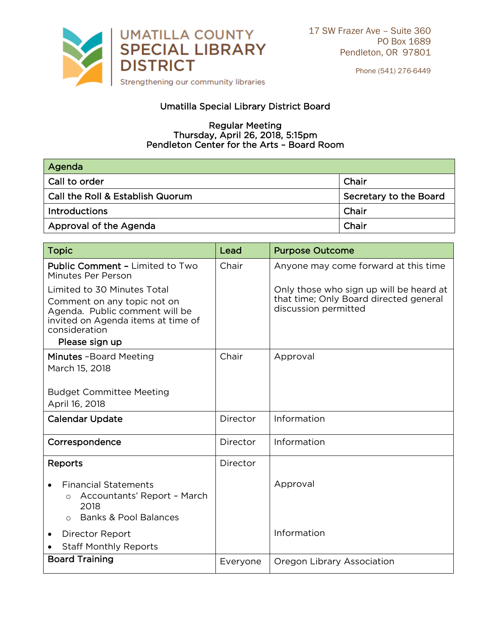

Phone (541) 276-6449

## Umatilla Special Library District Board

## **Regular Meeting**  $x$  April 26, 2018. aton Center for the Arts - Board I Pendleton Center for the Arts – Board Room

| Agenda                                  |                        |
|-----------------------------------------|------------------------|
| <b>Call to order</b>                    | Chair                  |
| $\mid$ Call the Roll & Establish Quorum | Secretary to the Board |
| <b>Introductions</b>                    | Chair                  |
| Approval of the Agenda                  | Chair                  |

| <b>Topic</b>                                                                                                                                                          | Lead     | <b>Purpose Outcome</b>                                                                                    |
|-----------------------------------------------------------------------------------------------------------------------------------------------------------------------|----------|-----------------------------------------------------------------------------------------------------------|
| <b>Public Comment - Limited to Two</b><br>Minutes Per Person                                                                                                          | Chair    | Anyone may come forward at this time                                                                      |
| Limited to 30 Minutes Total<br>Comment on any topic not on<br>Agenda. Public comment will be<br>invited on Agenda items at time of<br>consideration<br>Please sign up |          | Only those who sign up will be heard at<br>that time; Only Board directed general<br>discussion permitted |
| Minutes - Board Meeting<br>March 15, 2018                                                                                                                             | Chair    | Approval                                                                                                  |
| <b>Budget Committee Meeting</b><br>April 16, 2018                                                                                                                     |          |                                                                                                           |
| <b>Calendar Update</b>                                                                                                                                                | Director | Information                                                                                               |
| Correspondence                                                                                                                                                        | Director | Information                                                                                               |
| Reports                                                                                                                                                               | Director |                                                                                                           |
| <b>Financial Statements</b><br>Accountants' Report - March<br>$\circ$<br>2018<br><b>Banks &amp; Pool Balances</b><br>$\circ$                                          |          | Approval                                                                                                  |
| Director Report<br>٠<br><b>Staff Monthly Reports</b>                                                                                                                  |          | Information                                                                                               |
| <b>Board Training</b>                                                                                                                                                 | Everyone | Oregon Library Association                                                                                |